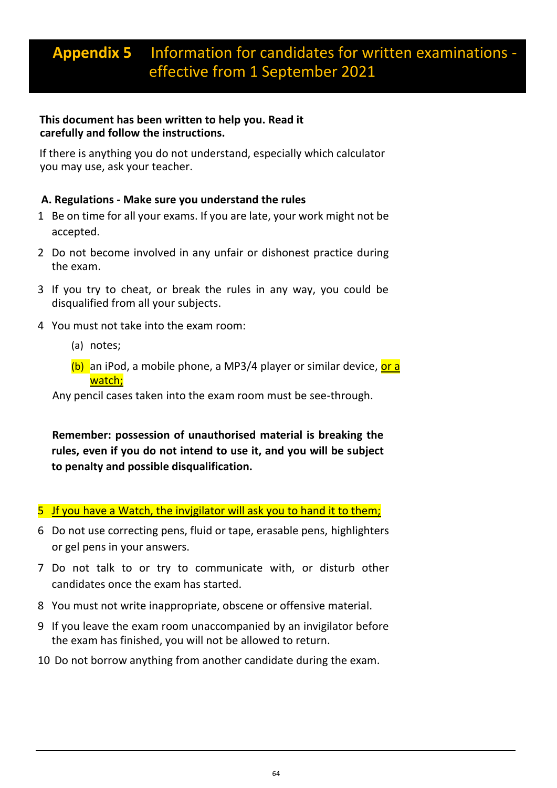# **Appendix 5 Information for candidates for written Appendix 5** Information for candidates for written examinations effective from 1 September 2021 **2021**

#### **This document has been written to help you. Read it carefully and follow the instructions.**

If there is anything you do not understand, especially which calculator you may use, ask your teacher.

#### **A. Regulations - Make sure you understand the rules**

- 1 Be on time for all your exams. If you are late, your work might not be accepted.
- 2 Do not become involved in any unfair or dishonest practice during the exam.
- 3 If you try to cheat, or break the rules in any way, you could be disqualified from all your subjects.
- 4 You must not take into the exam room:
	- (a) notes;
	- (b) an iPod, a mobile phone, a MP3/4 player or similar device, or a watch;

Any pencil cases taken into the exam room must be see-through.

**Remember: possession of unauthorised material is breaking the rules, even if you do not intend to use it, and you will be subject to penalty and possible disqualification.**

- 5 Jf you have a Watch, the invjgilator will ask you to hand it to them;
- 6 Do not use correcting pens, fluid or tape, erasable pens, highlighters or gel pens in your answers.
- 7 Do not talk to or try to communicate with, or disturb other candidates once the exam has started.
- 8 You must not write inappropriate, obscene or offensive material.
- 9 If you leave the exam room unaccompanied by an invigilator before the exam has finished, you will not be allowed to return.
- 10 Do not borrow anything from another candidate during the exam.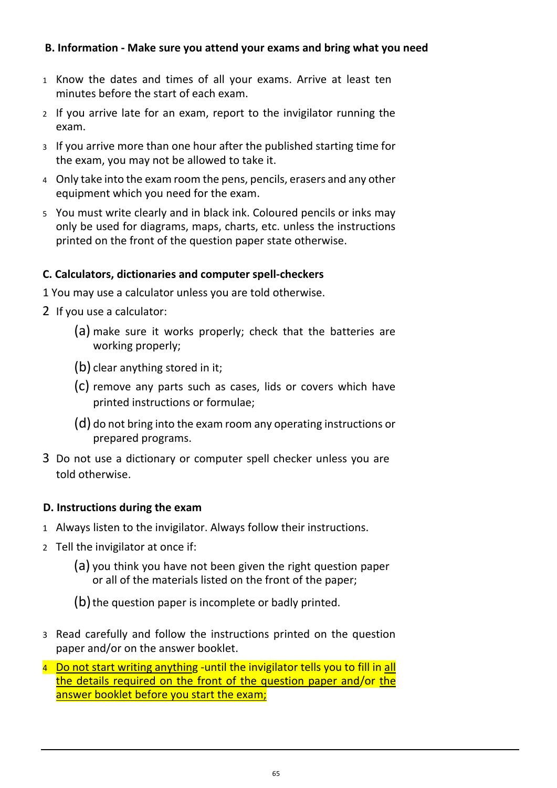### **B. Information - Make sure you attend your exams and bring what you need**

- <sup>1</sup> Know the dates and times of all your exams. Arrive at least ten minutes before the start of each exam.
- <sup>2</sup> If you arrive late for an exam, report to the invigilator running the exam.
- <sup>3</sup> If you arrive more than one hour after the published starting time for the exam, you may not be allowed to take it.
- <sup>4</sup> Only take into the exam room the pens, pencils, erasers and any other equipment which you need for the exam.
- <sup>5</sup> You must write clearly and in black ink. Coloured pencils or inks may only be used for diagrams, maps, charts, etc. unless the instructions printed on the front of the question paper state otherwise.

### **C. Calculators, dictionaries and computer spell-checkers**

1 You may use a calculator unless you are told otherwise.

- 2 If you use a calculator:
	- (a) make sure it works properly; check that the batteries are working properly;
	- (b) clear anything stored in it;
	- (c) remove any parts such as cases, lids or covers which have printed instructions or formulae;
	- (d) do not bring into the exam room any operating instructions or prepared programs.
- 3 Do not use a dictionary or computer spell checker unless you are told otherwise.

# **D. Instructions during the exam**

- 1 Always listen to the invigilator. Always follow their instructions.
- 2 Tell the invigilator at once if:
	- (a) you think you have not been given the right question paper or all of the materials listed on the front of the paper;
	- $(b)$  the question paper is incomplete or badly printed.
- 3 Read carefully and follow the instructions printed on the question paper and/or on the answer booklet.
- 4 Do not start writing anything -until the invigilator tells you to fill in all the details required on the front of the question paper and/or the answer booklet before you start the exam;